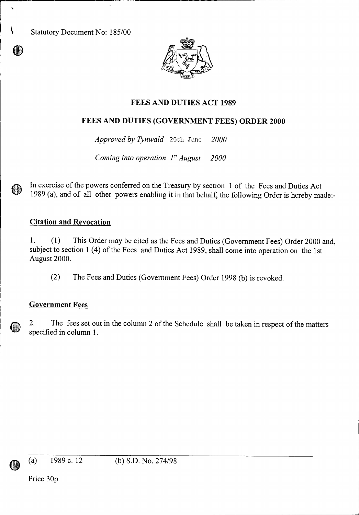Statutory Document No: 185/00

 $\mathbf{r}$ 



# **FEES AND DUTIES ACT 1989**

# **FEES AND DUTIES (GOVERNMENT FEES) ORDER 2000**

*Approved by Tynwald* 20th June *2000* 

*Coming into operation 1" August 2000* 

In exercise of the powers conferred on the Treasury by section 1 of the Fees and Duties Act 1989 (a), and of all other powers enabling it in that behalf, the following Order is hereby made:-

### **Citation and Revocation**

1. (1) This Order may be cited as the Fees and Duties (Government Fees) Order 2000 and, subject to section 1 (4) of the Fees and Duties Act 1989, shall come into operation on the 1st August 2000.

(2) The Fees and Duties (Government Fees) Order 1998 (b) is revoked.

# **Government Fees**

2. The fees set out in the column 2 of the Schedule shall be taken in respect of the matters specified in column 1.